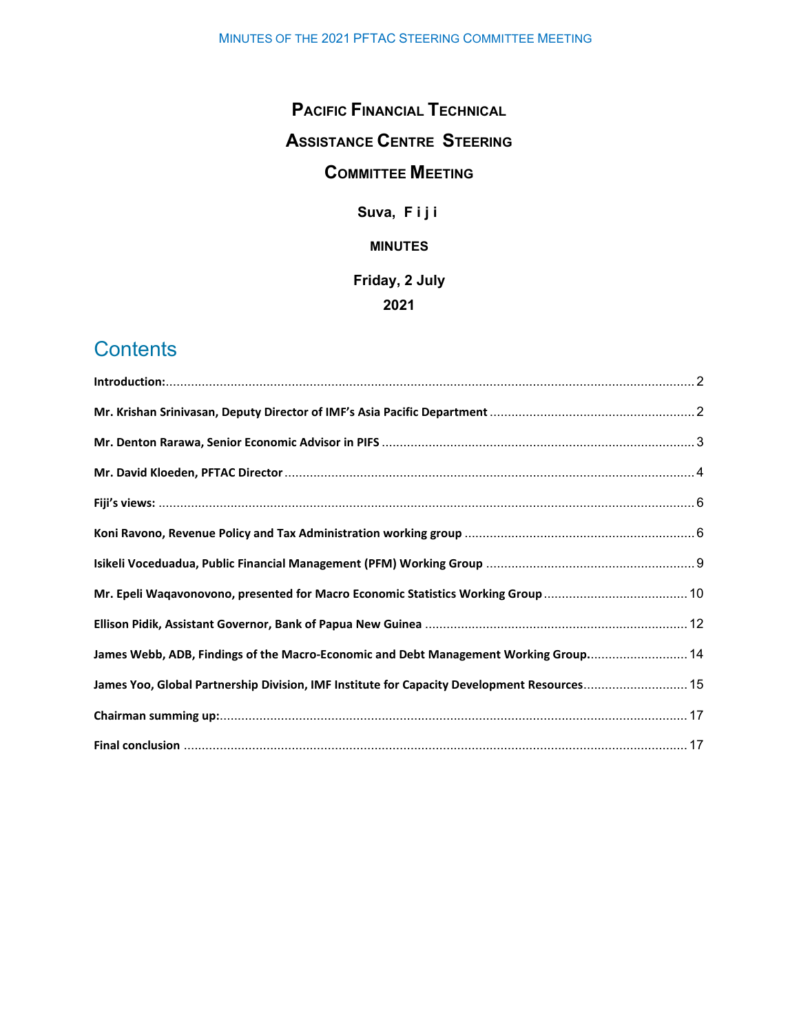# **PACIFIC FINANCIAL TECHNICAL ASSISTANCE CENTRE STEERING COMMITTEE MEETING**

**Suva, Fiji**

### **MINUTES**

# **Friday, 2 July 2021**

# **Contents**

| Mr. Epeli Waqavonovono, presented for Macro Economic Statistics Working Group  10           |  |
|---------------------------------------------------------------------------------------------|--|
|                                                                                             |  |
| James Webb, ADB, Findings of the Macro-Economic and Debt Management Working Group 14        |  |
| James Yoo, Global Partnership Division, IMF Institute for Capacity Development Resources 15 |  |
|                                                                                             |  |
|                                                                                             |  |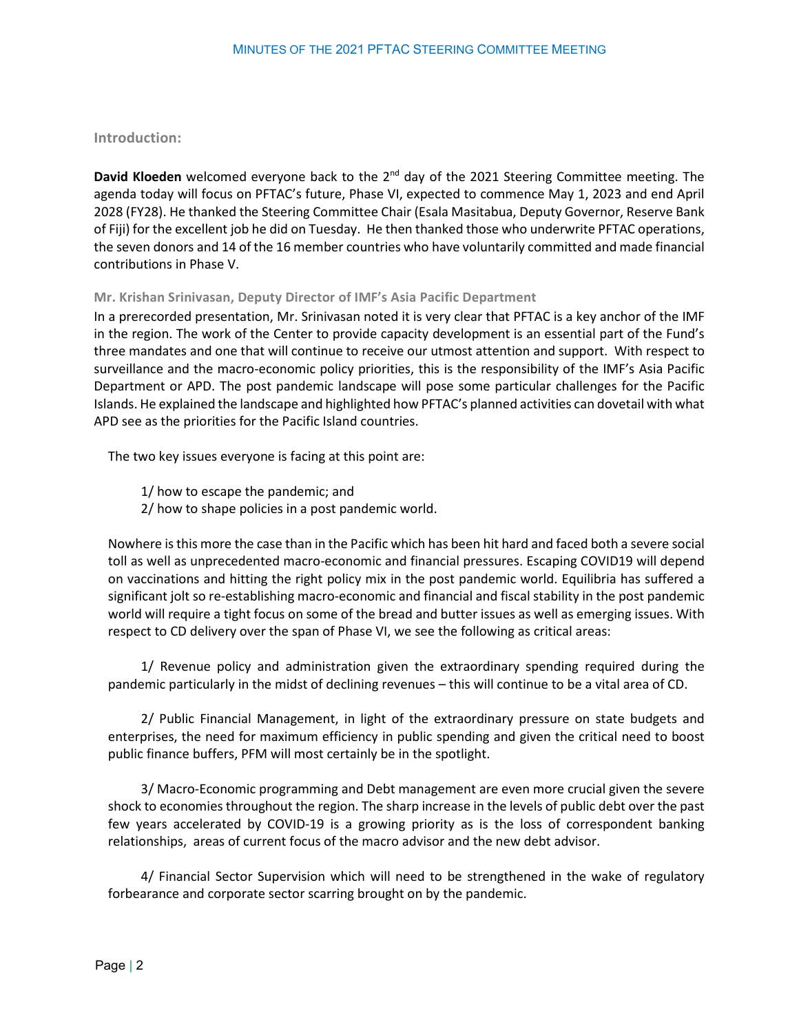#### <span id="page-1-0"></span>**Introduction:**

**David Kloeden** welcomed everyone back to the 2<sup>nd</sup> day of the 2021 Steering Committee meeting. The agenda today will focus on PFTAC's future, Phase VI, expected to commence May 1, 2023 and end April 2028 (FY28). He thanked the Steering Committee Chair (Esala Masitabua, Deputy Governor, Reserve Bank of Fiji) for the excellent job he did on Tuesday. He then thanked those who underwrite PFTAC operations, the seven donors and 14 of the 16 member countries who have voluntarily committed and made financial contributions in Phase V.

#### <span id="page-1-1"></span>**Mr. Krishan Srinivasan, Deputy Director of IMF's Asia Pacific Department**

In a prerecorded presentation, Mr. Srinivasan noted it is very clear that PFTAC is a key anchor of the IMF in the region. The work of the Center to provide capacity development is an essential part of the Fund's three mandates and one that will continue to receive our utmost attention and support. With respect to surveillance and the macro-economic policy priorities, this is the responsibility of the IMF's Asia Pacific Department or APD. The post pandemic landscape will pose some particular challenges for the Pacific Islands. He explained the landscape and highlighted how PFTAC's planned activities can dovetail with what APD see as the priorities for the Pacific Island countries.

The two key issues everyone is facing at this point are:

1/ how to escape the pandemic; and

2/ how to shape policies in a post pandemic world.

Nowhere is this more the case than in the Pacific which has been hit hard and faced both a severe social toll as well as unprecedented macro-economic and financial pressures. Escaping COVID19 will depend on vaccinations and hitting the right policy mix in the post pandemic world. Equilibria has suffered a significant jolt so re-establishing macro-economic and financial and fiscal stability in the post pandemic world will require a tight focus on some of the bread and butter issues as well as emerging issues. With respect to CD delivery over the span of Phase VI, we see the following as critical areas:

1/ Revenue policy and administration given the extraordinary spending required during the pandemic particularly in the midst of declining revenues – this will continue to be a vital area of CD.

2/ Public Financial Management, in light of the extraordinary pressure on state budgets and enterprises, the need for maximum efficiency in public spending and given the critical need to boost public finance buffers, PFM will most certainly be in the spotlight.

3/ Macro-Economic programming and Debt management are even more crucial given the severe shock to economies throughout the region. The sharp increase in the levels of public debt over the past few years accelerated by COVID-19 is a growing priority as is the loss of correspondent banking relationships, areas of current focus of the macro advisor and the new debt advisor.

4/ Financial Sector Supervision which will need to be strengthened in the wake of regulatory forbearance and corporate sector scarring brought on by the pandemic.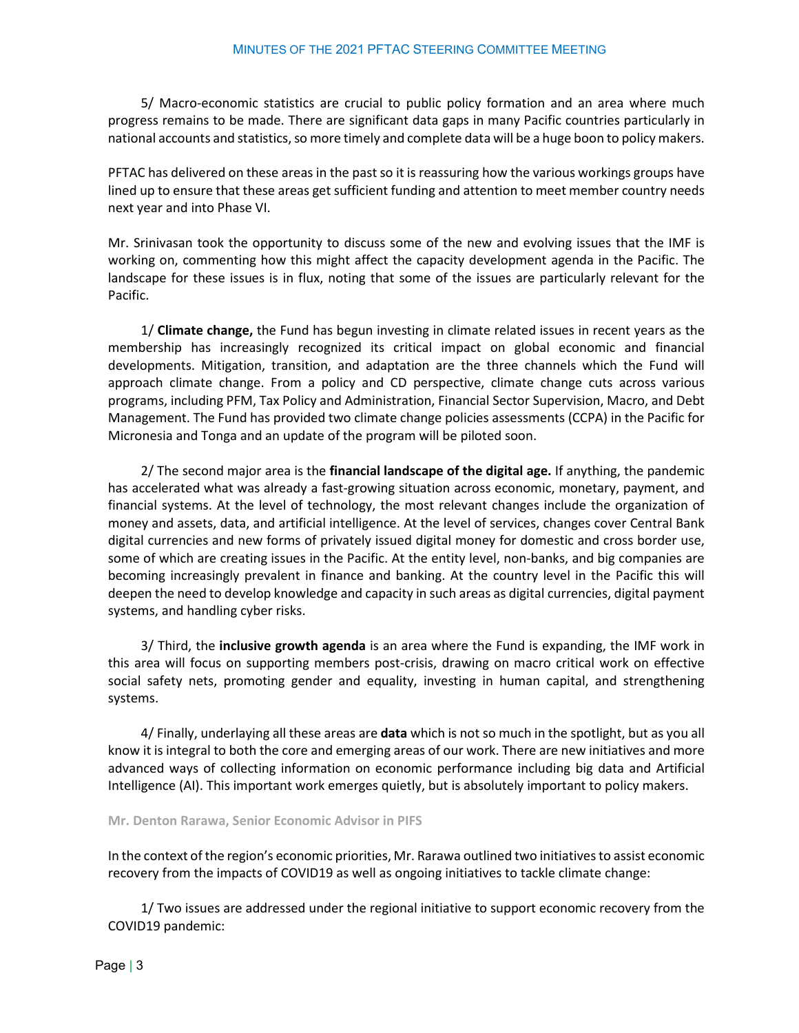5/ Macro-economic statistics are crucial to public policy formation and an area where much progress remains to be made. There are significant data gaps in many Pacific countries particularly in national accounts and statistics, so more timely and complete data will be a huge boon to policy makers.

PFTAC has delivered on these areas in the past so it is reassuring how the various workings groups have lined up to ensure that these areas get sufficient funding and attention to meet member country needs next year and into Phase VI.

Mr. Srinivasan took the opportunity to discuss some of the new and evolving issues that the IMF is working on, commenting how this might affect the capacity development agenda in the Pacific. The landscape for these issues is in flux, noting that some of the issues are particularly relevant for the Pacific.

1/ **Climate change,** the Fund has begun investing in climate related issues in recent years as the membership has increasingly recognized its critical impact on global economic and financial developments. Mitigation, transition, and adaptation are the three channels which the Fund will approach climate change. From a policy and CD perspective, climate change cuts across various programs, including PFM, Tax Policy and Administration, Financial Sector Supervision, Macro, and Debt Management. The Fund has provided two climate change policies assessments (CCPA) in the Pacific for Micronesia and Tonga and an update of the program will be piloted soon.

2/ The second major area is the **financial landscape of the digital age.** If anything, the pandemic has accelerated what was already a fast-growing situation across economic, monetary, payment, and financial systems. At the level of technology, the most relevant changes include the organization of money and assets, data, and artificial intelligence. At the level of services, changes cover Central Bank digital currencies and new forms of privately issued digital money for domestic and cross border use, some of which are creating issues in the Pacific. At the entity level, non-banks, and big companies are becoming increasingly prevalent in finance and banking. At the country level in the Pacific this will deepen the need to develop knowledge and capacity in such areas as digital currencies, digital payment systems, and handling cyber risks.

3/ Third, the **inclusive growth agenda** is an area where the Fund is expanding, the IMF work in this area will focus on supporting members post-crisis, drawing on macro critical work on effective social safety nets, promoting gender and equality, investing in human capital, and strengthening systems.

4/ Finally, underlaying all these areas are **data** which is not so much in the spotlight, but as you all know it is integral to both the core and emerging areas of our work. There are new initiatives and more advanced ways of collecting information on economic performance including big data and Artificial Intelligence (AI). This important work emerges quietly, but is absolutely important to policy makers.

#### <span id="page-2-0"></span>**Mr. Denton Rarawa, Senior Economic Advisor in PIFS**

In the context of the region's economic priorities, Mr. Rarawa outlined two initiativesto assist economic recovery from the impacts of COVID19 as well as ongoing initiatives to tackle climate change:

1/ Two issues are addressed under the regional initiative to support economic recovery from the COVID19 pandemic: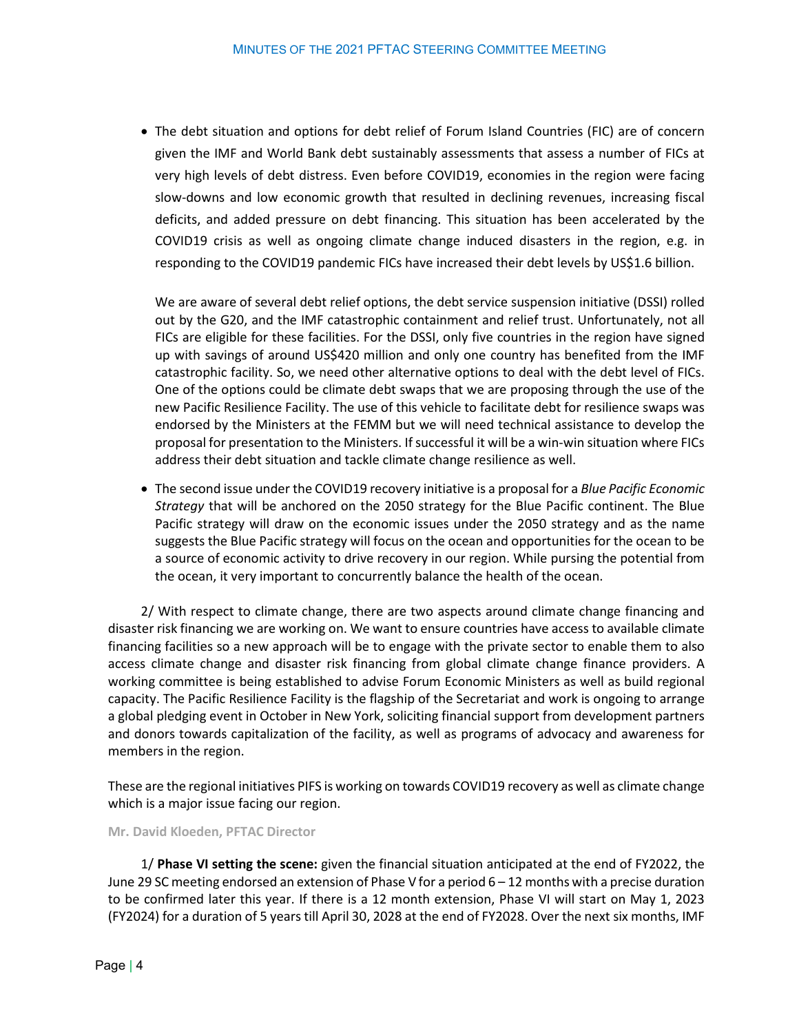• The debt situation and options for debt relief of Forum Island Countries (FIC) are of concern given the IMF and World Bank debt sustainably assessments that assess a number of FICs at very high levels of debt distress. Even before COVID19, economies in the region were facing slow-downs and low economic growth that resulted in declining revenues, increasing fiscal deficits, and added pressure on debt financing. This situation has been accelerated by the COVID19 crisis as well as ongoing climate change induced disasters in the region, e.g. in responding to the COVID19 pandemic FICs have increased their debt levels by US\$1.6 billion.

We are aware of several debt relief options, the debt service suspension initiative (DSSI) rolled out by the G20, and the IMF catastrophic containment and relief trust. Unfortunately, not all FICs are eligible for these facilities. For the DSSI, only five countries in the region have signed up with savings of around US\$420 million and only one country has benefited from the IMF catastrophic facility. So, we need other alternative options to deal with the debt level of FICs. One of the options could be climate debt swaps that we are proposing through the use of the new Pacific Resilience Facility. The use of this vehicle to facilitate debt for resilience swaps was endorsed by the Ministers at the FEMM but we will need technical assistance to develop the proposal for presentation to the Ministers. If successful it will be a win-win situation where FICs address their debt situation and tackle climate change resilience as well.

• The second issue under the COVID19 recovery initiative is a proposal for a *Blue Pacific Economic Strategy* that will be anchored on the 2050 strategy for the Blue Pacific continent. The Blue Pacific strategy will draw on the economic issues under the 2050 strategy and as the name suggests the Blue Pacific strategy will focus on the ocean and opportunities for the ocean to be a source of economic activity to drive recovery in our region. While pursing the potential from the ocean, it very important to concurrently balance the health of the ocean.

2/ With respect to climate change, there are two aspects around climate change financing and disaster risk financing we are working on. We want to ensure countries have access to available climate financing facilities so a new approach will be to engage with the private sector to enable them to also access climate change and disaster risk financing from global climate change finance providers. A working committee is being established to advise Forum Economic Ministers as well as build regional capacity. The Pacific Resilience Facility is the flagship of the Secretariat and work is ongoing to arrange a global pledging event in October in New York, soliciting financial support from development partners and donors towards capitalization of the facility, as well as programs of advocacy and awareness for members in the region.

These are the regional initiatives PIFS is working on towards COVID19 recovery as well as climate change which is a major issue facing our region.

<span id="page-3-0"></span>**Mr. David Kloeden, PFTAC Director**

1/ **Phase VI setting the scene:** given the financial situation anticipated at the end of FY2022, the June 29 SC meeting endorsed an extension of Phase V for a period 6 – 12 months with a precise duration to be confirmed later this year. If there is a 12 month extension, Phase VI will start on May 1, 2023 (FY2024) for a duration of 5 years till April 30, 2028 at the end of FY2028. Over the next six months, IMF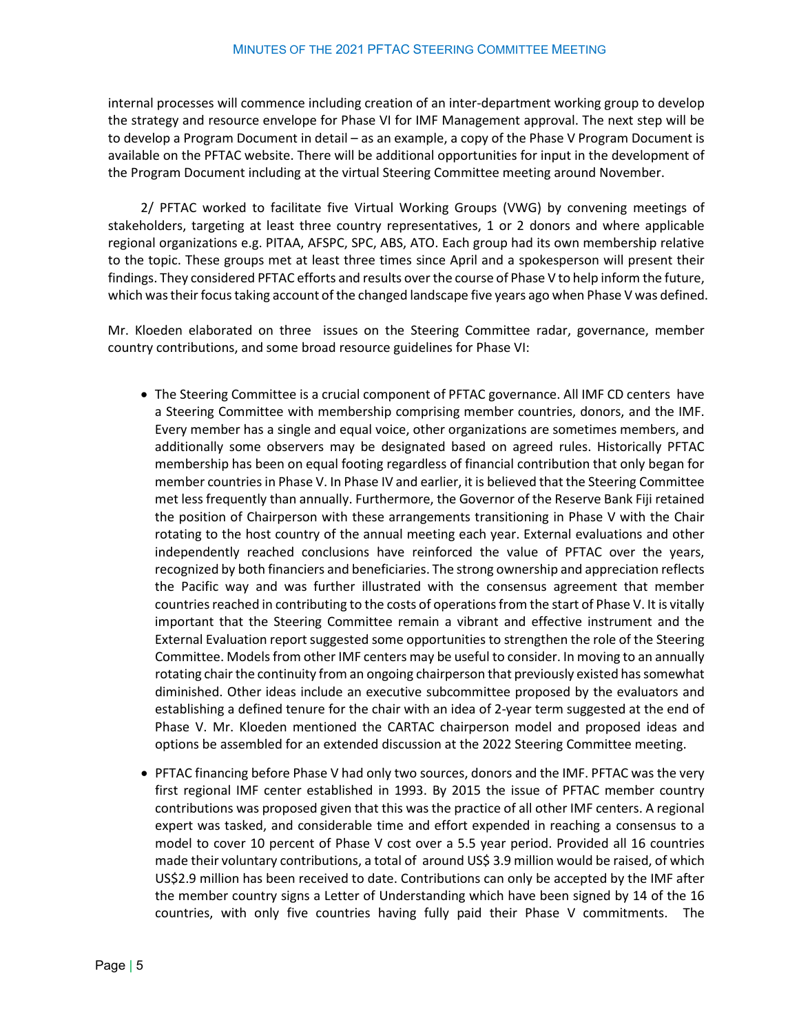internal processes will commence including creation of an inter-department working group to develop the strategy and resource envelope for Phase VI for IMF Management approval. The next step will be to develop a Program Document in detail – as an example, a copy of the Phase V Program Document is available on the PFTAC website. There will be additional opportunities for input in the development of the Program Document including at the virtual Steering Committee meeting around November.

2/ PFTAC worked to facilitate five Virtual Working Groups (VWG) by convening meetings of stakeholders, targeting at least three country representatives, 1 or 2 donors and where applicable regional organizations e.g. PITAA, AFSPC, SPC, ABS, ATO. Each group had its own membership relative to the topic. These groups met at least three times since April and a spokesperson will present their findings. They considered PFTAC efforts and results over the course of Phase V to help inform the future, which was their focus taking account of the changed landscape five years ago when Phase V was defined.

Mr. Kloeden elaborated on three issues on the Steering Committee radar, governance, member country contributions, and some broad resource guidelines for Phase VI:

- The Steering Committee is a crucial component of PFTAC governance. All IMF CD centers have a Steering Committee with membership comprising member countries, donors, and the IMF. Every member has a single and equal voice, other organizations are sometimes members, and additionally some observers may be designated based on agreed rules. Historically PFTAC membership has been on equal footing regardless of financial contribution that only began for member countries in Phase V. In Phase IV and earlier, it is believed that the Steering Committee met less frequently than annually. Furthermore, the Governor of the Reserve Bank Fiji retained the position of Chairperson with these arrangements transitioning in Phase V with the Chair rotating to the host country of the annual meeting each year. External evaluations and other independently reached conclusions have reinforced the value of PFTAC over the years, recognized by both financiers and beneficiaries. The strong ownership and appreciation reflects the Pacific way and was further illustrated with the consensus agreement that member countries reached in contributing to the costs of operationsfrom the start of Phase V. It is vitally important that the Steering Committee remain a vibrant and effective instrument and the External Evaluation report suggested some opportunities to strengthen the role of the Steering Committee. Models from other IMF centers may be useful to consider. In moving to an annually rotating chair the continuity from an ongoing chairperson that previously existed has somewhat diminished. Other ideas include an executive subcommittee proposed by the evaluators and establishing a defined tenure for the chair with an idea of 2-year term suggested at the end of Phase V. Mr. Kloeden mentioned the CARTAC chairperson model and proposed ideas and options be assembled for an extended discussion at the 2022 Steering Committee meeting.
- PFTAC financing before Phase V had only two sources, donors and the IMF. PFTAC was the very first regional IMF center established in 1993. By 2015 the issue of PFTAC member country contributions was proposed given that this was the practice of all other IMF centers. A regional expert was tasked, and considerable time and effort expended in reaching a consensus to a model to cover 10 percent of Phase V cost over a 5.5 year period. Provided all 16 countries made their voluntary contributions, a total of around US\$ 3.9 million would be raised, of which US\$2.9 million has been received to date. Contributions can only be accepted by the IMF after the member country signs a Letter of Understanding which have been signed by 14 of the 16 countries, with only five countries having fully paid their Phase V commitments. The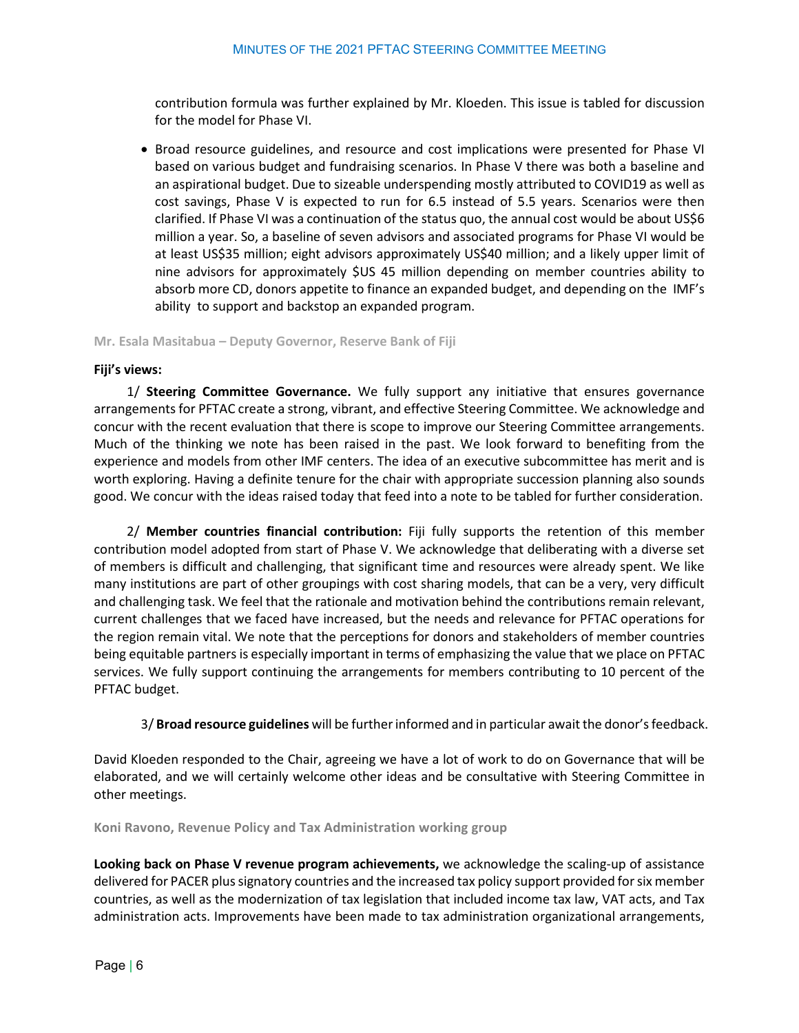contribution formula was further explained by Mr. Kloeden. This issue is tabled for discussion for the model for Phase VI.

• Broad resource guidelines, and resource and cost implications were presented for Phase VI based on various budget and fundraising scenarios. In Phase V there was both a baseline and an aspirational budget. Due to sizeable underspending mostly attributed to COVID19 as well as cost savings, Phase V is expected to run for 6.5 instead of 5.5 years. Scenarios were then clarified. If Phase VI was a continuation of the status quo, the annual cost would be about US\$6 million a year. So, a baseline of seven advisors and associated programs for Phase VI would be at least US\$35 million; eight advisors approximately US\$40 million; and a likely upper limit of nine advisors for approximately \$US 45 million depending on member countries ability to absorb more CD, donors appetite to finance an expanded budget, and depending on the IMF's ability to support and backstop an expanded program.

**Mr. Esala Masitabua – Deputy Governor, Reserve Bank of Fiji**

#### <span id="page-5-0"></span>**Fiji's views:**

1/ **Steering Committee Governance.** We fully support any initiative that ensures governance arrangements for PFTAC create a strong, vibrant, and effective Steering Committee. We acknowledge and concur with the recent evaluation that there is scope to improve our Steering Committee arrangements. Much of the thinking we note has been raised in the past. We look forward to benefiting from the experience and models from other IMF centers. The idea of an executive subcommittee has merit and is worth exploring. Having a definite tenure for the chair with appropriate succession planning also sounds good. We concur with the ideas raised today that feed into a note to be tabled for further consideration.

2/ **Member countries financial contribution:** Fiji fully supports the retention of this member contribution model adopted from start of Phase V. We acknowledge that deliberating with a diverse set of members is difficult and challenging, that significant time and resources were already spent. We like many institutions are part of other groupings with cost sharing models, that can be a very, very difficult and challenging task. We feel that the rationale and motivation behind the contributions remain relevant, current challenges that we faced have increased, but the needs and relevance for PFTAC operations for the region remain vital. We note that the perceptions for donors and stakeholders of member countries being equitable partners is especially important in terms of emphasizing the value that we place on PFTAC services. We fully support continuing the arrangements for members contributing to 10 percent of the PFTAC budget.

3/ **Broad resource guidelines** will be further informed and in particular awaitthe donor'sfeedback.

David Kloeden responded to the Chair, agreeing we have a lot of work to do on Governance that will be elaborated, and we will certainly welcome other ideas and be consultative with Steering Committee in other meetings.

<span id="page-5-1"></span>**Koni Ravono, Revenue Policy and Tax Administration working group**

**Looking back on Phase V revenue program achievements,** we acknowledge the scaling-up of assistance delivered for PACER plus signatory countries and the increased tax policy support provided for six member countries, as well as the modernization of tax legislation that included income tax law, VAT acts, and Tax administration acts. Improvements have been made to tax administration organizational arrangements,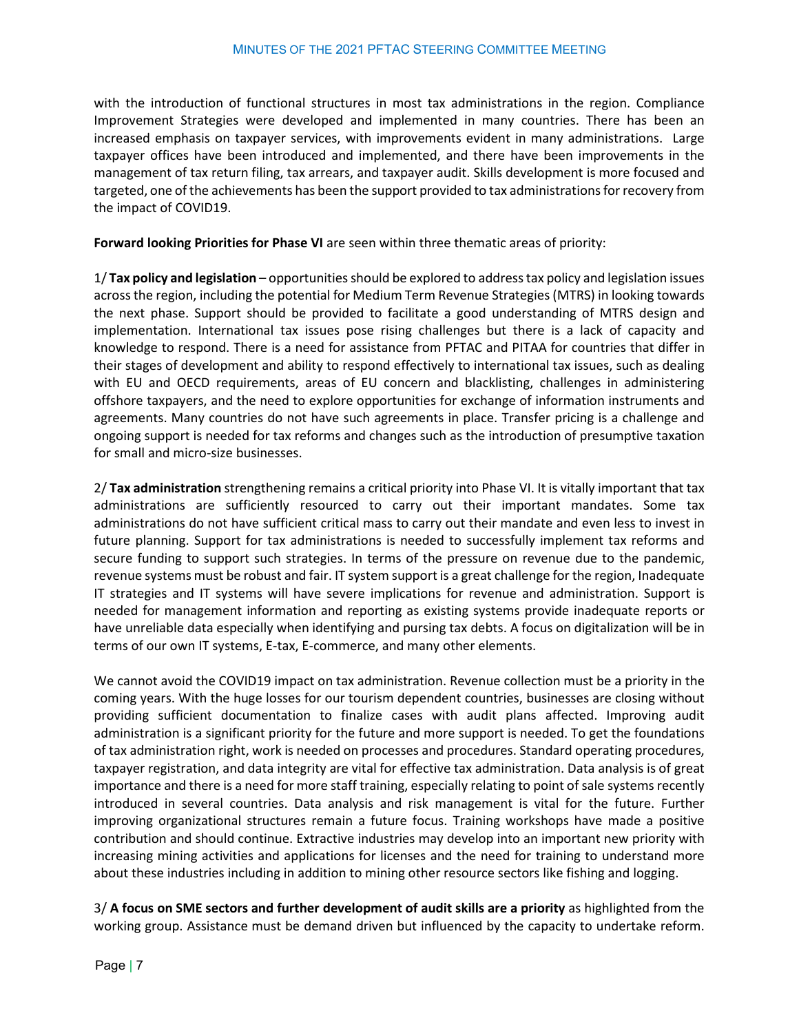with the introduction of functional structures in most tax administrations in the region. Compliance Improvement Strategies were developed and implemented in many countries. There has been an increased emphasis on taxpayer services, with improvements evident in many administrations. Large taxpayer offices have been introduced and implemented, and there have been improvements in the management of tax return filing, tax arrears, and taxpayer audit. Skills development is more focused and targeted, one of the achievements has been the support provided to tax administrationsfor recovery from the impact of COVID19.

**Forward looking Priorities for Phase VI** are seen within three thematic areas of priority:

1/ **Tax policy and legislation** – opportunitiesshould be explored to address tax policy and legislation issues across the region, including the potential for Medium Term Revenue Strategies(MTRS) in looking towards the next phase. Support should be provided to facilitate a good understanding of MTRS design and implementation. International tax issues pose rising challenges but there is a lack of capacity and knowledge to respond. There is a need for assistance from PFTAC and PITAA for countries that differ in their stages of development and ability to respond effectively to international tax issues, such as dealing with EU and OECD requirements, areas of EU concern and blacklisting, challenges in administering offshore taxpayers, and the need to explore opportunities for exchange of information instruments and agreements. Many countries do not have such agreements in place. Transfer pricing is a challenge and ongoing support is needed for tax reforms and changes such as the introduction of presumptive taxation for small and micro-size businesses.

2/ **Tax administration** strengthening remains a critical priority into Phase VI. It is vitally important that tax administrations are sufficiently resourced to carry out their important mandates. Some tax administrations do not have sufficient critical mass to carry out their mandate and even less to invest in future planning. Support for tax administrations is needed to successfully implement tax reforms and secure funding to support such strategies. In terms of the pressure on revenue due to the pandemic, revenue systems must be robust and fair. IT system support is a great challenge for the region, Inadequate IT strategies and IT systems will have severe implications for revenue and administration. Support is needed for management information and reporting as existing systems provide inadequate reports or have unreliable data especially when identifying and pursing tax debts. A focus on digitalization will be in terms of our own IT systems, E-tax, E-commerce, and many other elements.

We cannot avoid the COVID19 impact on tax administration. Revenue collection must be a priority in the coming years. With the huge losses for our tourism dependent countries, businesses are closing without providing sufficient documentation to finalize cases with audit plans affected. Improving audit administration is a significant priority for the future and more support is needed. To get the foundations of tax administration right, work is needed on processes and procedures. Standard operating procedures, taxpayer registration, and data integrity are vital for effective tax administration. Data analysis is of great importance and there is a need for more staff training, especially relating to point of sale systems recently introduced in several countries. Data analysis and risk management is vital for the future. Further improving organizational structures remain a future focus. Training workshops have made a positive contribution and should continue. Extractive industries may develop into an important new priority with increasing mining activities and applications for licenses and the need for training to understand more about these industries including in addition to mining other resource sectors like fishing and logging.

3/ **A focus on SME sectors and further development of audit skills are a priority** as highlighted from the working group. Assistance must be demand driven but influenced by the capacity to undertake reform.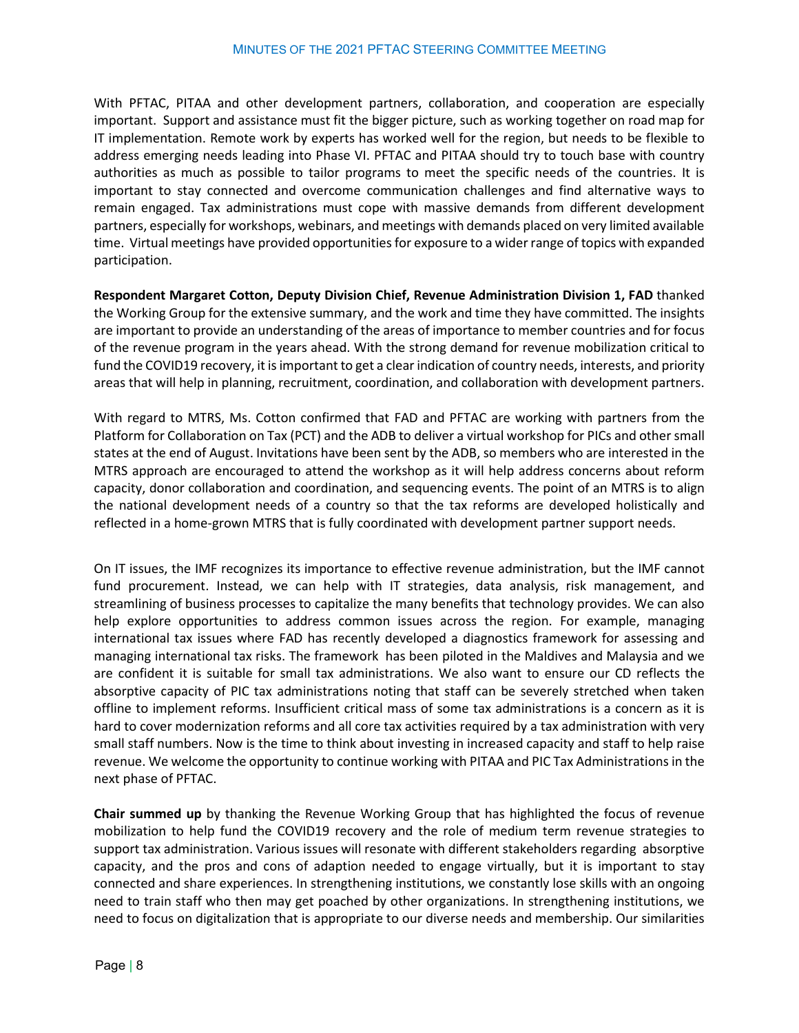With PFTAC, PITAA and other development partners, collaboration, and cooperation are especially important. Support and assistance must fit the bigger picture, such as working together on road map for IT implementation. Remote work by experts has worked well for the region, but needs to be flexible to address emerging needs leading into Phase VI. PFTAC and PITAA should try to touch base with country authorities as much as possible to tailor programs to meet the specific needs of the countries. It is important to stay connected and overcome communication challenges and find alternative ways to remain engaged. Tax administrations must cope with massive demands from different development partners, especially for workshops, webinars, and meetings with demands placed on very limited available time. Virtual meetings have provided opportunities for exposure to a wider range of topics with expanded participation.

**Respondent Margaret Cotton, Deputy Division Chief, Revenue Administration Division 1, FAD** thanked the Working Group for the extensive summary, and the work and time they have committed. The insights are important to provide an understanding of the areas of importance to member countries and for focus of the revenue program in the years ahead. With the strong demand for revenue mobilization critical to fund the COVID19 recovery, it is important to get a clear indication of country needs, interests, and priority areas that will help in planning, recruitment, coordination, and collaboration with development partners.

With regard to MTRS, Ms. Cotton confirmed that FAD and PFTAC are working with partners from the Platform for Collaboration on Tax (PCT) and the ADB to deliver a virtual workshop for PICs and other small states at the end of August. Invitations have been sent by the ADB, so members who are interested in the MTRS approach are encouraged to attend the workshop as it will help address concerns about reform capacity, donor collaboration and coordination, and sequencing events. The point of an MTRS is to align the national development needs of a country so that the tax reforms are developed holistically and reflected in a home-grown MTRS that is fully coordinated with development partner support needs.

On IT issues, the IMF recognizes its importance to effective revenue administration, but the IMF cannot fund procurement. Instead, we can help with IT strategies, data analysis, risk management, and streamlining of business processes to capitalize the many benefits that technology provides. We can also help explore opportunities to address common issues across the region. For example, managing international tax issues where FAD has recently developed a diagnostics framework for assessing and managing international tax risks. The framework has been piloted in the Maldives and Malaysia and we are confident it is suitable for small tax administrations. We also want to ensure our CD reflects the absorptive capacity of PIC tax administrations noting that staff can be severely stretched when taken offline to implement reforms. Insufficient critical mass of some tax administrations is a concern as it is hard to cover modernization reforms and all core tax activities required by a tax administration with very small staff numbers. Now is the time to think about investing in increased capacity and staff to help raise revenue. We welcome the opportunity to continue working with PITAA and PIC Tax Administrations in the next phase of PFTAC.

**Chair summed up** by thanking the Revenue Working Group that has highlighted the focus of revenue mobilization to help fund the COVID19 recovery and the role of medium term revenue strategies to support tax administration. Various issues will resonate with different stakeholders regarding absorptive capacity, and the pros and cons of adaption needed to engage virtually, but it is important to stay connected and share experiences. In strengthening institutions, we constantly lose skills with an ongoing need to train staff who then may get poached by other organizations. In strengthening institutions, we need to focus on digitalization that is appropriate to our diverse needs and membership. Our similarities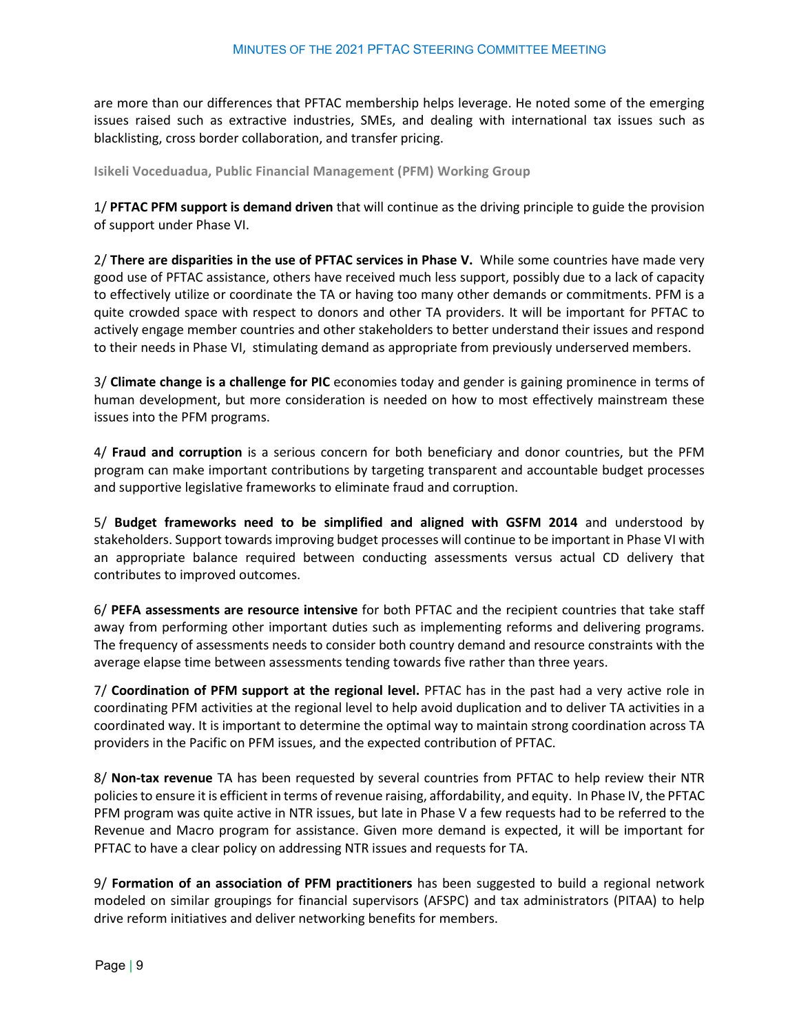are more than our differences that PFTAC membership helps leverage. He noted some of the emerging issues raised such as extractive industries, SMEs, and dealing with international tax issues such as blacklisting, cross border collaboration, and transfer pricing.

<span id="page-8-0"></span>**Isikeli Voceduadua, Public Financial Management (PFM) Working Group** 

1/ **PFTAC PFM support is demand driven** that will continue as the driving principle to guide the provision of support under Phase VI.

2/ **There are disparities in the use of PFTAC services in Phase V.** While some countries have made very good use of PFTAC assistance, others have received much less support, possibly due to a lack of capacity to effectively utilize or coordinate the TA or having too many other demands or commitments. PFM is a quite crowded space with respect to donors and other TA providers. It will be important for PFTAC to actively engage member countries and other stakeholders to better understand their issues and respond to their needs in Phase VI, stimulating demand as appropriate from previously underserved members.

3/ **Climate change is a challenge for PIC** economies today and gender is gaining prominence in terms of human development, but more consideration is needed on how to most effectively mainstream these issues into the PFM programs.

4/ **Fraud and corruption** is a serious concern for both beneficiary and donor countries, but the PFM program can make important contributions by targeting transparent and accountable budget processes and supportive legislative frameworks to eliminate fraud and corruption.

5/ **Budget frameworks need to be simplified and aligned with GSFM 2014** and understood by stakeholders. Support towards improving budget processes will continue to be important in Phase VI with an appropriate balance required between conducting assessments versus actual CD delivery that contributes to improved outcomes.

6/ **PEFA assessments are resource intensive** for both PFTAC and the recipient countries that take staff away from performing other important duties such as implementing reforms and delivering programs. The frequency of assessments needs to consider both country demand and resource constraints with the average elapse time between assessments tending towards five rather than three years.

7/ **Coordination of PFM support at the regional level.** PFTAC has in the past had a very active role in coordinating PFM activities at the regional level to help avoid duplication and to deliver TA activities in a coordinated way. It is important to determine the optimal way to maintain strong coordination across TA providers in the Pacific on PFM issues, and the expected contribution of PFTAC.

8/ **Non-tax revenue** TA has been requested by several countries from PFTAC to help review their NTR policies to ensure it is efficient in terms of revenue raising, affordability, and equity. In Phase IV, the PFTAC PFM program was quite active in NTR issues, but late in Phase V a few requests had to be referred to the Revenue and Macro program for assistance. Given more demand is expected, it will be important for PFTAC to have a clear policy on addressing NTR issues and requests for TA.

9/ **Formation of an association of PFM practitioners** has been suggested to build a regional network modeled on similar groupings for financial supervisors (AFSPC) and tax administrators (PITAA) to help drive reform initiatives and deliver networking benefits for members.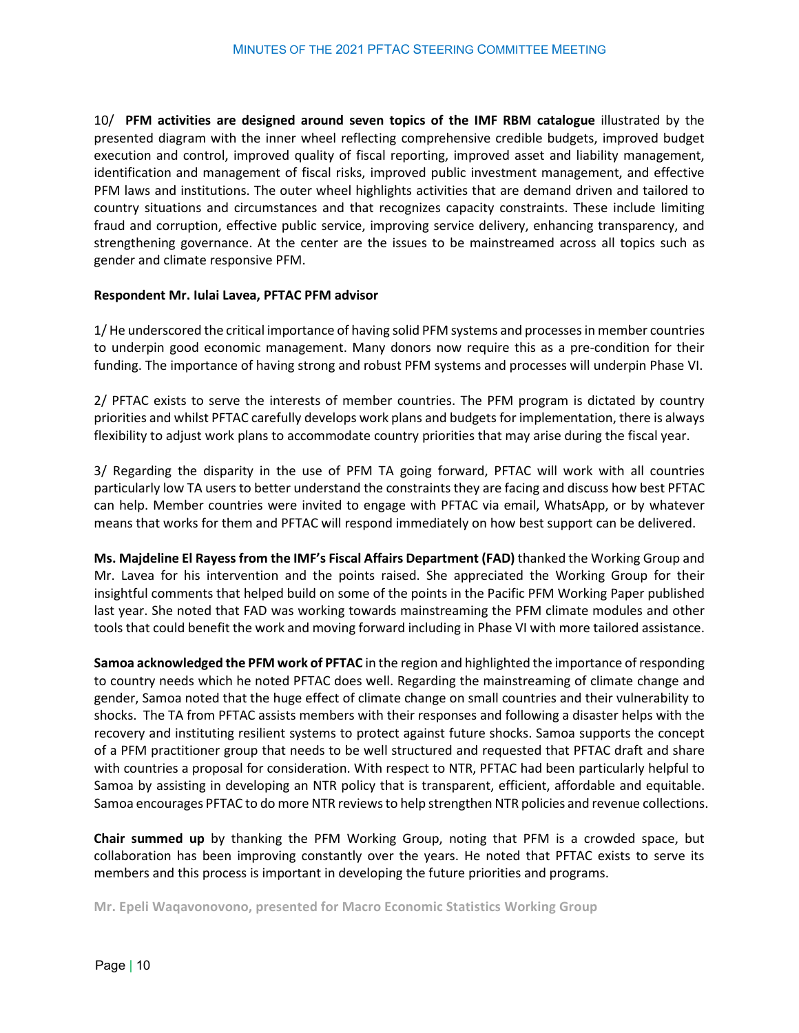10/ **PFM activities are designed around seven topics of the IMF RBM catalogue** illustrated by the presented diagram with the inner wheel reflecting comprehensive credible budgets, improved budget execution and control, improved quality of fiscal reporting, improved asset and liability management, identification and management of fiscal risks, improved public investment management, and effective PFM laws and institutions. The outer wheel highlights activities that are demand driven and tailored to country situations and circumstances and that recognizes capacity constraints. These include limiting fraud and corruption, effective public service, improving service delivery, enhancing transparency, and strengthening governance. At the center are the issues to be mainstreamed across all topics such as gender and climate responsive PFM.

#### **Respondent Mr. Iulai Lavea, PFTAC PFM advisor**

1/ He underscored the critical importance of having solid PFM systems and processes in member countries to underpin good economic management. Many donors now require this as a pre-condition for their funding. The importance of having strong and robust PFM systems and processes will underpin Phase VI.

2/ PFTAC exists to serve the interests of member countries. The PFM program is dictated by country priorities and whilst PFTAC carefully develops work plans and budgets for implementation, there is always flexibility to adjust work plans to accommodate country priorities that may arise during the fiscal year.

3/ Regarding the disparity in the use of PFM TA going forward, PFTAC will work with all countries particularly low TA users to better understand the constraints they are facing and discuss how best PFTAC can help. Member countries were invited to engage with PFTAC via email, WhatsApp, or by whatever means that works for them and PFTAC will respond immediately on how best support can be delivered.

**Ms. Majdeline El Rayessfrom the IMF's Fiscal Affairs Department (FAD)** thanked the Working Group and Mr. Lavea for his intervention and the points raised. She appreciated the Working Group for their insightful comments that helped build on some of the points in the Pacific PFM Working Paper published last year. She noted that FAD was working towards mainstreaming the PFM climate modules and other tools that could benefit the work and moving forward including in Phase VI with more tailored assistance.

**Samoa acknowledged the PFM work of PFTAC** in the region and highlighted the importance of responding to country needs which he noted PFTAC does well. Regarding the mainstreaming of climate change and gender, Samoa noted that the huge effect of climate change on small countries and their vulnerability to shocks. The TA from PFTAC assists members with their responses and following a disaster helps with the recovery and instituting resilient systems to protect against future shocks. Samoa supports the concept of a PFM practitioner group that needs to be well structured and requested that PFTAC draft and share with countries a proposal for consideration. With respect to NTR, PFTAC had been particularly helpful to Samoa by assisting in developing an NTR policy that is transparent, efficient, affordable and equitable. Samoa encourages PFTAC to do more NTR reviews to help strengthen NTR policies and revenue collections.

**Chair summed up** by thanking the PFM Working Group, noting that PFM is a crowded space, but collaboration has been improving constantly over the years. He noted that PFTAC exists to serve its members and this process is important in developing the future priorities and programs.

<span id="page-9-0"></span>**Mr. Epeli Waqavonovono, presented for Macro Economic Statistics Working Group**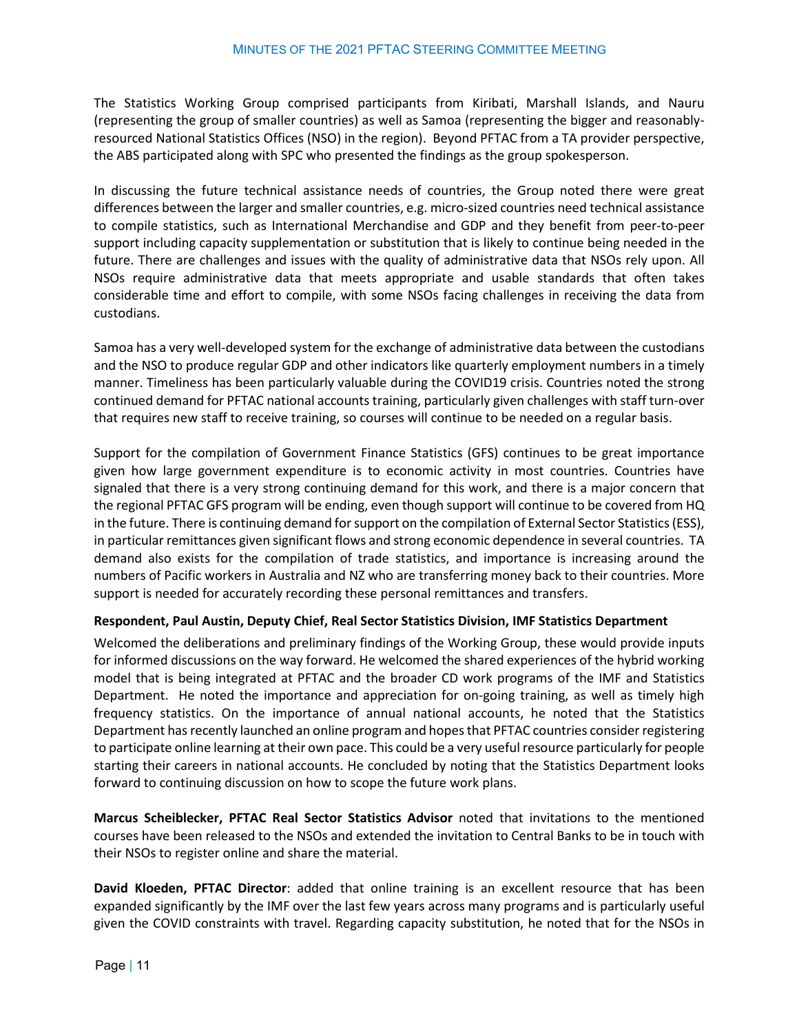The Statistics Working Group comprised participants from Kiribati, Marshall Islands, and Nauru (representing the group of smaller countries) as well as Samoa (representing the bigger and reasonablyresourced National Statistics Offices (NSO) in the region). Beyond PFTAC from a TA provider perspective, the ABS participated along with SPC who presented the findings as the group spokesperson.

In discussing the future technical assistance needs of countries, the Group noted there were great differences between the larger and smaller countries, e.g. micro-sized countries need technical assistance to compile statistics, such as International Merchandise and GDP and they benefit from peer-to-peer support including capacity supplementation or substitution that is likely to continue being needed in the future. There are challenges and issues with the quality of administrative data that NSOs rely upon. All NSOs require administrative data that meets appropriate and usable standards that often takes considerable time and effort to compile, with some NSOs facing challenges in receiving the data from custodians.

Samoa has a very well-developed system for the exchange of administrative data between the custodians and the NSO to produce regular GDP and other indicators like quarterly employment numbers in a timely manner. Timeliness has been particularly valuable during the COVID19 crisis. Countries noted the strong continued demand for PFTAC national accounts training, particularly given challenges with staff turn-over that requires new staff to receive training, so courses will continue to be needed on a regular basis.

Support for the compilation of Government Finance Statistics (GFS) continues to be great importance given how large government expenditure is to economic activity in most countries. Countries have signaled that there is a very strong continuing demand for this work, and there is a major concern that the regional PFTAC GFS program will be ending, even though support will continue to be covered from HQ in the future. There is continuing demand for support on the compilation of External Sector Statistics(ESS), in particular remittances given significant flows and strong economic dependence in several countries. TA demand also exists for the compilation of trade statistics, and importance is increasing around the numbers of Pacific workers in Australia and NZ who are transferring money back to their countries. More support is needed for accurately recording these personal remittances and transfers.

#### **Respondent, Paul Austin, Deputy Chief, Real Sector Statistics Division, IMF Statistics Department**

Welcomed the deliberations and preliminary findings of the Working Group, these would provide inputs for informed discussions on the way forward. He welcomed the shared experiences of the hybrid working model that is being integrated at PFTAC and the broader CD work programs of the IMF and Statistics Department. He noted the importance and appreciation for on-going training, as well as timely high frequency statistics. On the importance of annual national accounts, he noted that the Statistics Department has recently launched an online program and hopesthat PFTAC countries consider registering to participate online learning at their own pace. This could be a very useful resource particularly for people starting their careers in national accounts. He concluded by noting that the Statistics Department looks forward to continuing discussion on how to scope the future work plans.

**Marcus Scheiblecker, PFTAC Real Sector Statistics Advisor** noted that invitations to the mentioned courses have been released to the NSOs and extended the invitation to Central Banks to be in touch with their NSOs to register online and share the material.

**David Kloeden, PFTAC Director**: added that online training is an excellent resource that has been expanded significantly by the IMF over the last few years across many programs and is particularly useful given the COVID constraints with travel. Regarding capacity substitution, he noted that for the NSOs in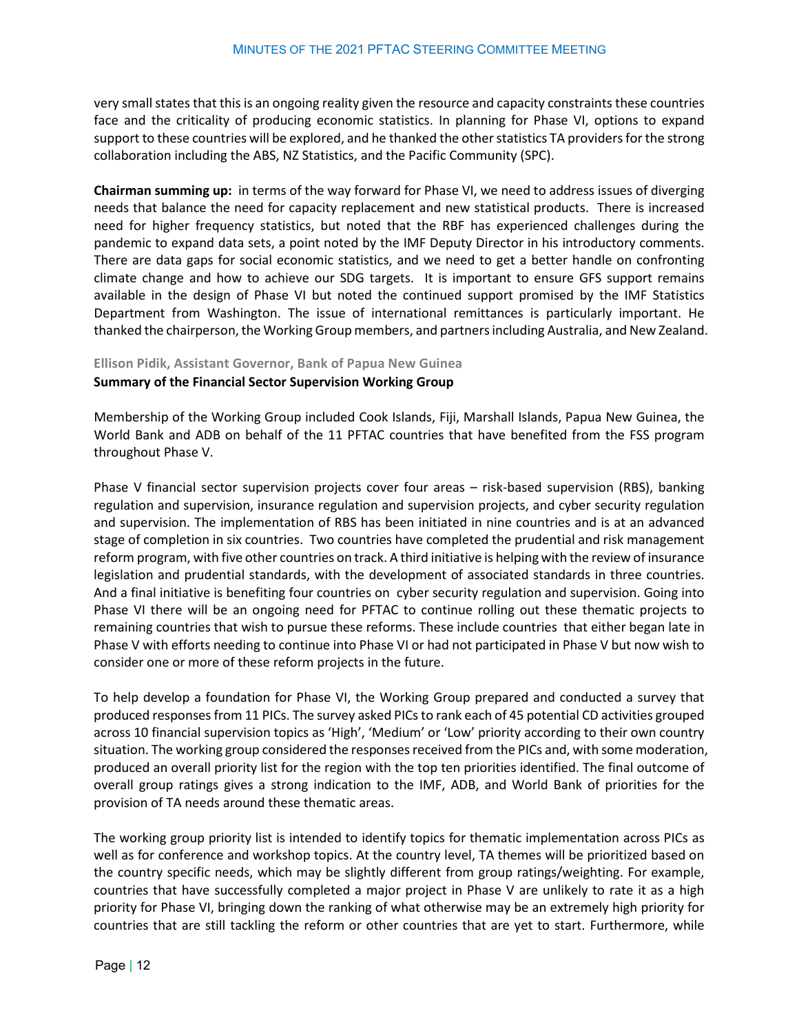very small states that this is an ongoing reality given the resource and capacity constraints these countries face and the criticality of producing economic statistics. In planning for Phase VI, options to expand support to these countries will be explored, and he thanked the other statistics TA providers for the strong collaboration including the ABS, NZ Statistics, and the Pacific Community (SPC).

**Chairman summing up:** in terms of the way forward for Phase VI, we need to address issues of diverging needs that balance the need for capacity replacement and new statistical products. There is increased need for higher frequency statistics, but noted that the RBF has experienced challenges during the pandemic to expand data sets, a point noted by the IMF Deputy Director in his introductory comments. There are data gaps for social economic statistics, and we need to get a better handle on confronting climate change and how to achieve our SDG targets. It is important to ensure GFS support remains available in the design of Phase VI but noted the continued support promised by the IMF Statistics Department from Washington. The issue of international remittances is particularly important. He thanked the chairperson, the Working Groupmembers, and partners including Australia, and New Zealand.

<span id="page-11-0"></span>**Ellison Pidik, Assistant Governor, Bank of Papua New Guinea**

#### **Summary of the Financial Sector Supervision Working Group**

Membership of the Working Group included Cook Islands, Fiji, Marshall Islands, Papua New Guinea, the World Bank and ADB on behalf of the 11 PFTAC countries that have benefited from the FSS program throughout Phase V.

Phase V financial sector supervision projects cover four areas – risk-based supervision (RBS), banking regulation and supervision, insurance regulation and supervision projects, and cyber security regulation and supervision. The implementation of RBS has been initiated in nine countries and is at an advanced stage of completion in six countries. Two countries have completed the prudential and risk management reform program, with five other countries on track. A third initiative is helping with the review of insurance legislation and prudential standards, with the development of associated standards in three countries. And a final initiative is benefiting four countries on cyber security regulation and supervision. Going into Phase VI there will be an ongoing need for PFTAC to continue rolling out these thematic projects to remaining countries that wish to pursue these reforms. These include countries that either began late in Phase V with efforts needing to continue into Phase VI or had not participated in Phase V but now wish to consider one or more of these reform projects in the future.

To help develop a foundation for Phase VI, the Working Group prepared and conducted a survey that produced responses from 11 PICs. The survey asked PICs to rank each of 45 potential CD activities grouped across 10 financial supervision topics as 'High', 'Medium' or 'Low' priority according to their own country situation. The working group considered the responses received from the PICs and, with some moderation, produced an overall priority list for the region with the top ten priorities identified. The final outcome of overall group ratings gives a strong indication to the IMF, ADB, and World Bank of priorities for the provision of TA needs around these thematic areas.

The working group priority list is intended to identify topics for thematic implementation across PICs as well as for conference and workshop topics. At the country level, TA themes will be prioritized based on the country specific needs, which may be slightly different from group ratings/weighting. For example, countries that have successfully completed a major project in Phase V are unlikely to rate it as a high priority for Phase VI, bringing down the ranking of what otherwise may be an extremely high priority for countries that are still tackling the reform or other countries that are yet to start. Furthermore, while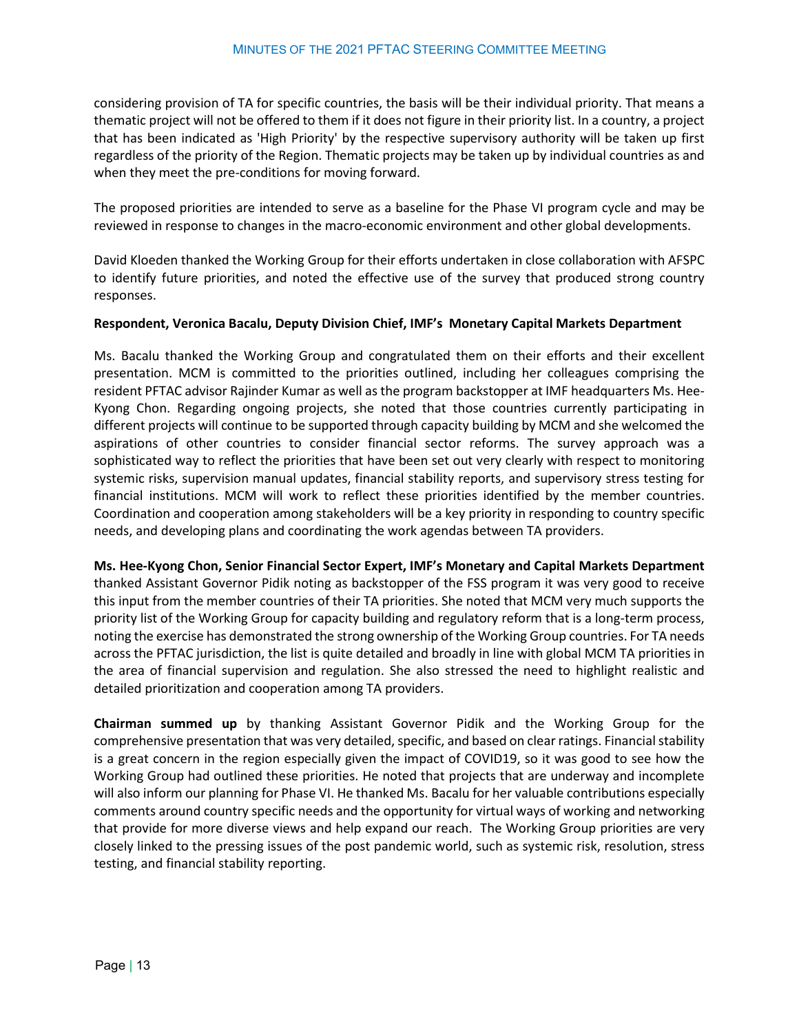considering provision of TA for specific countries, the basis will be their individual priority. That means a thematic project will not be offered to them if it does not figure in their priority list. In a country, a project that has been indicated as 'High Priority' by the respective supervisory authority will be taken up first regardless of the priority of the Region. Thematic projects may be taken up by individual countries as and when they meet the pre-conditions for moving forward.

The proposed priorities are intended to serve as a baseline for the Phase VI program cycle and may be reviewed in response to changes in the macro-economic environment and other global developments.

David Kloeden thanked the Working Group for their efforts undertaken in close collaboration with AFSPC to identify future priorities, and noted the effective use of the survey that produced strong country responses.

#### **Respondent, Veronica Bacalu, Deputy Division Chief, IMF's Monetary Capital Markets Department**

Ms. Bacalu thanked the Working Group and congratulated them on their efforts and their excellent presentation. MCM is committed to the priorities outlined, including her colleagues comprising the resident PFTAC advisor Rajinder Kumar as well as the program backstopper at IMF headquarters Ms. Hee-Kyong Chon. Regarding ongoing projects, she noted that those countries currently participating in different projects will continue to be supported through capacity building by MCM and she welcomed the aspirations of other countries to consider financial sector reforms. The survey approach was a sophisticated way to reflect the priorities that have been set out very clearly with respect to monitoring systemic risks, supervision manual updates, financial stability reports, and supervisory stress testing for financial institutions. MCM will work to reflect these priorities identified by the member countries. Coordination and cooperation among stakeholders will be a key priority in responding to country specific needs, and developing plans and coordinating the work agendas between TA providers.

**Ms. Hee-Kyong Chon, Senior Financial Sector Expert, IMF's Monetary and Capital Markets Department** thanked Assistant Governor Pidik noting as backstopper of the FSS program it was very good to receive this input from the member countries of their TA priorities. She noted that MCM very much supports the priority list of the Working Group for capacity building and regulatory reform that is a long-term process, noting the exercise has demonstrated the strong ownership of the Working Group countries. For TA needs across the PFTAC jurisdiction, the list is quite detailed and broadly in line with global MCM TA priorities in the area of financial supervision and regulation. She also stressed the need to highlight realistic and detailed prioritization and cooperation among TA providers.

**Chairman summed up** by thanking Assistant Governor Pidik and the Working Group for the comprehensive presentation that was very detailed, specific, and based on clear ratings. Financial stability is a great concern in the region especially given the impact of COVID19, so it was good to see how the Working Group had outlined these priorities. He noted that projects that are underway and incomplete will also inform our planning for Phase VI. He thanked Ms. Bacalu for her valuable contributions especially comments around country specific needs and the opportunity for virtual ways of working and networking that provide for more diverse views and help expand our reach. The Working Group priorities are very closely linked to the pressing issues of the post pandemic world, such as systemic risk, resolution, stress testing, and financial stability reporting.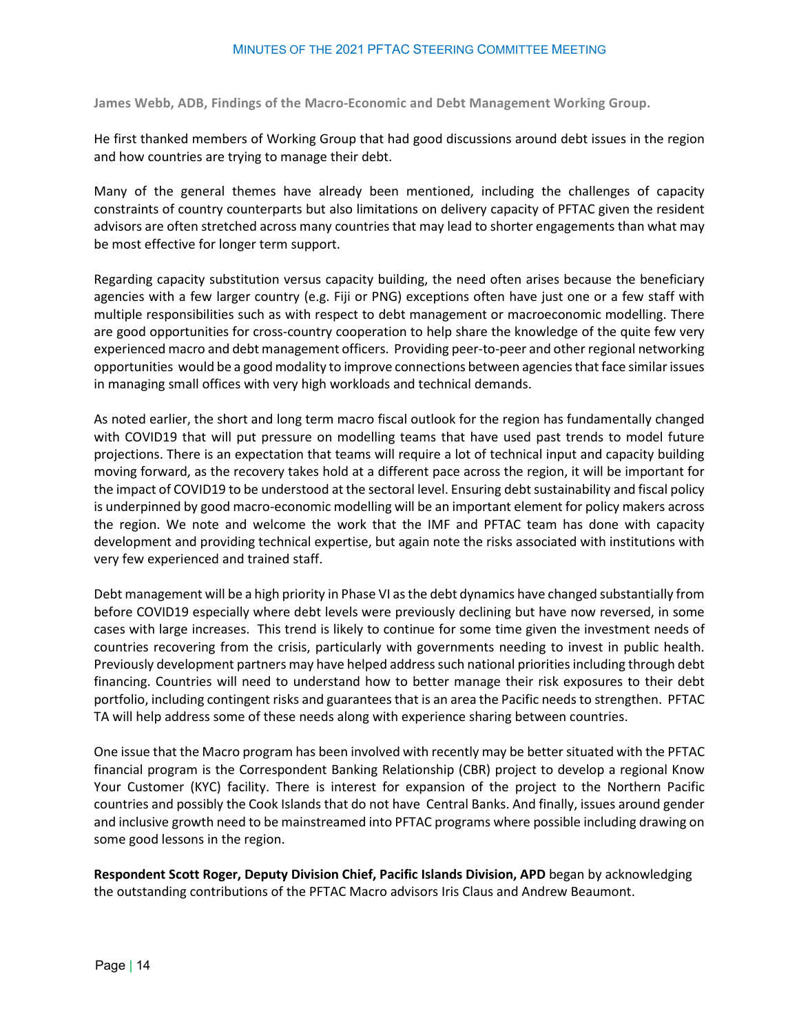<span id="page-13-0"></span>**James Webb, ADB, Findings of the Macro-Economic and Debt Management Working Group.** 

He first thanked members of Working Group that had good discussions around debt issues in the region and how countries are trying to manage their debt.

Many of the general themes have already been mentioned, including the challenges of capacity constraints of country counterparts but also limitations on delivery capacity of PFTAC given the resident advisors are often stretched across many countries that may lead to shorter engagements than what may be most effective for longer term support.

Regarding capacity substitution versus capacity building, the need often arises because the beneficiary agencies with a few larger country (e.g. Fiji or PNG) exceptions often have just one or a few staff with multiple responsibilities such as with respect to debt management or macroeconomic modelling. There are good opportunities for cross-country cooperation to help share the knowledge of the quite few very experienced macro and debt management officers. Providing peer-to-peer and other regional networking opportunities would be a good modality to improve connections between agencies that face similar issues in managing small offices with very high workloads and technical demands.

As noted earlier, the short and long term macro fiscal outlook for the region has fundamentally changed with COVID19 that will put pressure on modelling teams that have used past trends to model future projections. There is an expectation that teams will require a lot of technical input and capacity building moving forward, as the recovery takes hold at a different pace across the region, it will be important for the impact of COVID19 to be understood at the sectoral level. Ensuring debt sustainability and fiscal policy is underpinned by good macro-economic modelling will be an important element for policy makers across the region. We note and welcome the work that the IMF and PFTAC team has done with capacity development and providing technical expertise, but again note the risks associated with institutions with very few experienced and trained staff.

Debt management will be a high priority in Phase VI as the debt dynamics have changed substantially from before COVID19 especially where debt levels were previously declining but have now reversed, in some cases with large increases. This trend is likely to continue for some time given the investment needs of countries recovering from the crisis, particularly with governments needing to invest in public health. Previously development partners may have helped address such national priorities including through debt financing. Countries will need to understand how to better manage their risk exposures to their debt portfolio, including contingent risks and guarantees that is an area the Pacific needs to strengthen. PFTAC TA will help address some of these needs along with experience sharing between countries.

One issue that the Macro program has been involved with recently may be better situated with the PFTAC financial program is the Correspondent Banking Relationship (CBR) project to develop a regional Know Your Customer (KYC) facility. There is interest for expansion of the project to the Northern Pacific countries and possibly the Cook Islands that do not have Central Banks. And finally, issues around gender and inclusive growth need to be mainstreamed into PFTAC programs where possible including drawing on some good lessons in the region.

**Respondent Scott Roger, Deputy Division Chief, Pacific Islands Division, APD** began by acknowledging the outstanding contributions of the PFTAC Macro advisors Iris Claus and Andrew Beaumont.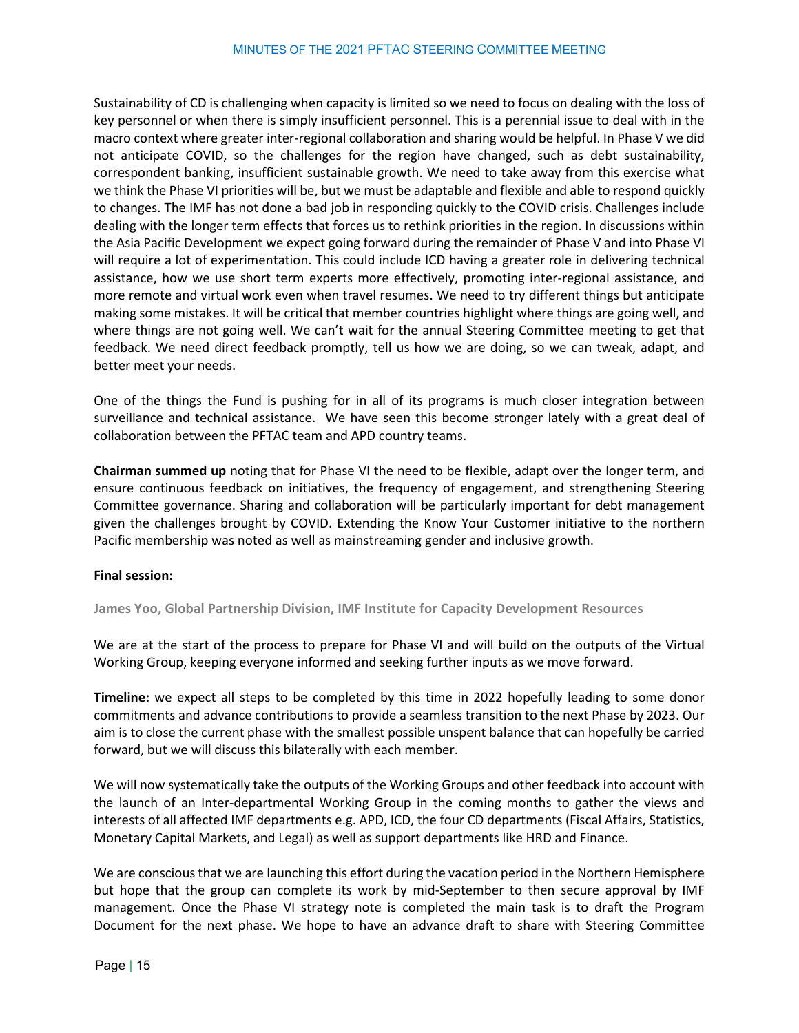Sustainability of CD is challenging when capacity is limited so we need to focus on dealing with the loss of key personnel or when there is simply insufficient personnel. This is a perennial issue to deal with in the macro context where greater inter-regional collaboration and sharing would be helpful. In Phase V we did not anticipate COVID, so the challenges for the region have changed, such as debt sustainability, correspondent banking, insufficient sustainable growth. We need to take away from this exercise what we think the Phase VI priorities will be, but we must be adaptable and flexible and able to respond quickly to changes. The IMF has not done a bad job in responding quickly to the COVID crisis. Challenges include dealing with the longer term effects that forces us to rethink priorities in the region. In discussions within the Asia Pacific Development we expect going forward during the remainder of Phase V and into Phase VI will require a lot of experimentation. This could include ICD having a greater role in delivering technical assistance, how we use short term experts more effectively, promoting inter-regional assistance, and more remote and virtual work even when travel resumes. We need to try different things but anticipate making some mistakes. It will be critical that member countries highlight where things are going well, and where things are not going well. We can't wait for the annual Steering Committee meeting to get that feedback. We need direct feedback promptly, tell us how we are doing, so we can tweak, adapt, and better meet your needs.

One of the things the Fund is pushing for in all of its programs is much closer integration between surveillance and technical assistance. We have seen this become stronger lately with a great deal of collaboration between the PFTAC team and APD country teams.

**Chairman summed up** noting that for Phase VI the need to be flexible, adapt over the longer term, and ensure continuous feedback on initiatives, the frequency of engagement, and strengthening Steering Committee governance. Sharing and collaboration will be particularly important for debt management given the challenges brought by COVID. Extending the Know Your Customer initiative to the northern Pacific membership was noted as well as mainstreaming gender and inclusive growth.

#### <span id="page-14-0"></span>**Final session:**

**James Yoo, Global Partnership Division, IMF Institute for Capacity Development Resources**

We are at the start of the process to prepare for Phase VI and will build on the outputs of the Virtual Working Group, keeping everyone informed and seeking further inputs as we move forward.

**Timeline:** we expect all steps to be completed by this time in 2022 hopefully leading to some donor commitments and advance contributions to provide a seamless transition to the next Phase by 2023. Our aim is to close the current phase with the smallest possible unspent balance that can hopefully be carried forward, but we will discuss this bilaterally with each member.

We will now systematically take the outputs of the Working Groups and other feedback into account with the launch of an Inter-departmental Working Group in the coming months to gather the views and interests of all affected IMF departments e.g. APD, ICD, the four CD departments (Fiscal Affairs, Statistics, Monetary Capital Markets, and Legal) as well as support departments like HRD and Finance.

We are conscious that we are launching this effort during the vacation period in the Northern Hemisphere but hope that the group can complete its work by mid-September to then secure approval by IMF management. Once the Phase VI strategy note is completed the main task is to draft the Program Document for the next phase. We hope to have an advance draft to share with Steering Committee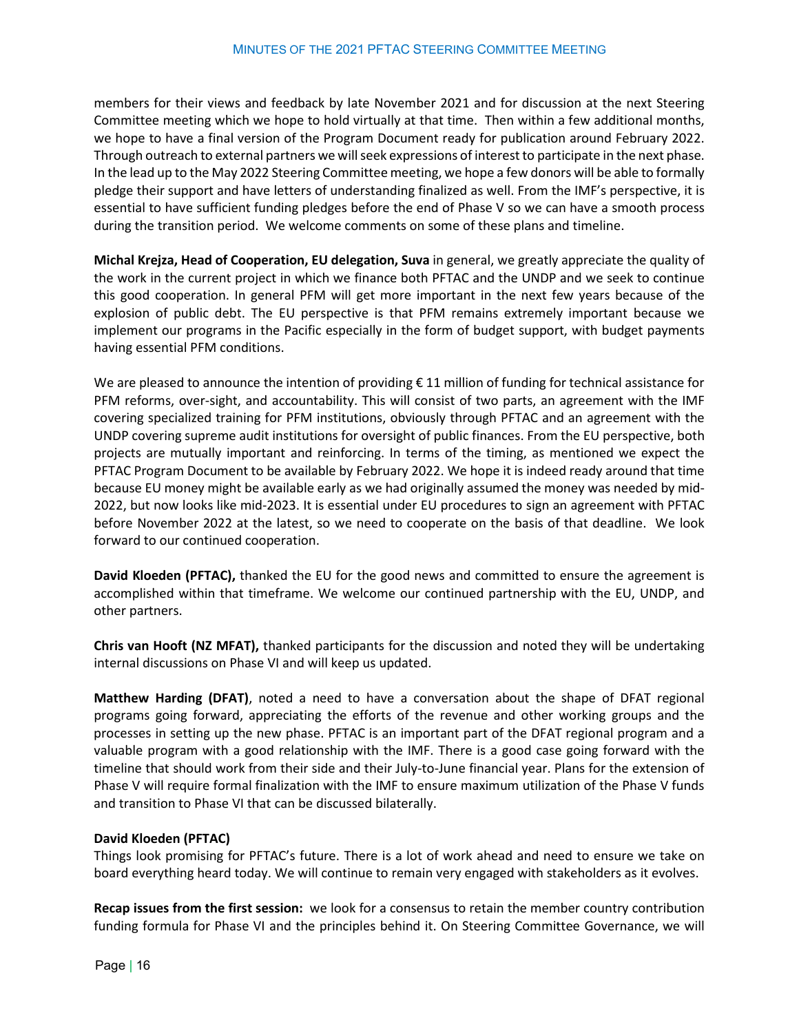members for their views and feedback by late November 2021 and for discussion at the next Steering Committee meeting which we hope to hold virtually at that time. Then within a few additional months, we hope to have a final version of the Program Document ready for publication around February 2022. Through outreach to external partners we will seek expressions of interest to participate in the next phase. In the lead up to the May 2022 Steering Committee meeting, we hope a few donors will be able to formally pledge their support and have letters of understanding finalized as well. From the IMF's perspective, it is essential to have sufficient funding pledges before the end of Phase V so we can have a smooth process during the transition period. We welcome comments on some of these plans and timeline.

**Michal Krejza, Head of Cooperation, EU delegation, Suva** in general, we greatly appreciate the quality of the work in the current project in which we finance both PFTAC and the UNDP and we seek to continue this good cooperation. In general PFM will get more important in the next few years because of the explosion of public debt. The EU perspective is that PFM remains extremely important because we implement our programs in the Pacific especially in the form of budget support, with budget payments having essential PFM conditions.

We are pleased to announce the intention of providing  $\epsilon$  11 million of funding for technical assistance for PFM reforms, over-sight, and accountability. This will consist of two parts, an agreement with the IMF covering specialized training for PFM institutions, obviously through PFTAC and an agreement with the UNDP covering supreme audit institutions for oversight of public finances. From the EU perspective, both projects are mutually important and reinforcing. In terms of the timing, as mentioned we expect the PFTAC Program Document to be available by February 2022. We hope it is indeed ready around that time because EU money might be available early as we had originally assumed the money was needed by mid-2022, but now looks like mid-2023. It is essential under EU procedures to sign an agreement with PFTAC before November 2022 at the latest, so we need to cooperate on the basis of that deadline. We look forward to our continued cooperation.

**David Kloeden (PFTAC),** thanked the EU for the good news and committed to ensure the agreement is accomplished within that timeframe. We welcome our continued partnership with the EU, UNDP, and other partners.

**Chris van Hooft (NZ MFAT),** thanked participants for the discussion and noted they will be undertaking internal discussions on Phase VI and will keep us updated.

**Matthew Harding (DFAT)**, noted a need to have a conversation about the shape of DFAT regional programs going forward, appreciating the efforts of the revenue and other working groups and the processes in setting up the new phase. PFTAC is an important part of the DFAT regional program and a valuable program with a good relationship with the IMF. There is a good case going forward with the timeline that should work from their side and their July-to-June financial year. Plans for the extension of Phase V will require formal finalization with the IMF to ensure maximum utilization of the Phase V funds and transition to Phase VI that can be discussed bilaterally.

#### **David Kloeden (PFTAC)**

Things look promising for PFTAC's future. There is a lot of work ahead and need to ensure we take on board everything heard today. We will continue to remain very engaged with stakeholders as it evolves.

**Recap issues from the first session:** we look for a consensus to retain the member country contribution funding formula for Phase VI and the principles behind it. On Steering Committee Governance, we will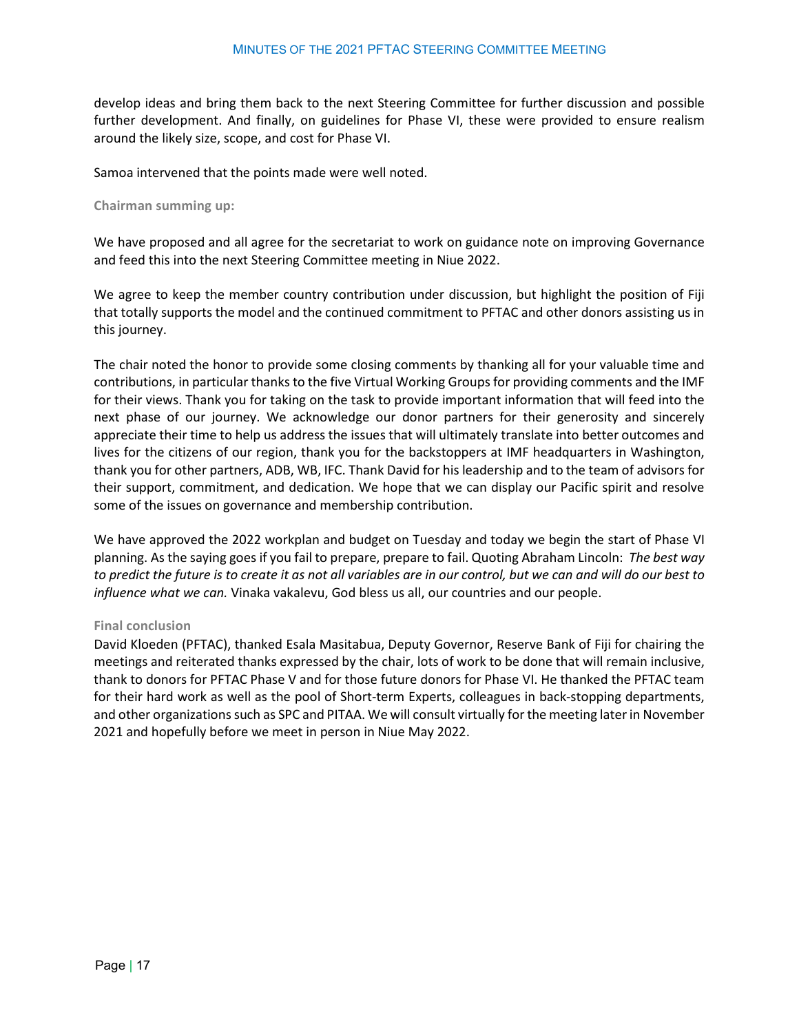develop ideas and bring them back to the next Steering Committee for further discussion and possible further development. And finally, on guidelines for Phase VI, these were provided to ensure realism around the likely size, scope, and cost for Phase VI.

<span id="page-16-0"></span>Samoa intervened that the points made were well noted.

#### **Chairman summing up:**

We have proposed and all agree for the secretariat to work on guidance note on improving Governance and feed this into the next Steering Committee meeting in Niue 2022.

We agree to keep the member country contribution under discussion, but highlight the position of Fiji that totally supports the model and the continued commitment to PFTAC and other donors assisting us in this journey.

The chair noted the honor to provide some closing comments by thanking all for your valuable time and contributions, in particular thanks to the five Virtual Working Groups for providing comments and the IMF for their views. Thank you for taking on the task to provide important information that will feed into the next phase of our journey. We acknowledge our donor partners for their generosity and sincerely appreciate their time to help us address the issues that will ultimately translate into better outcomes and lives for the citizens of our region, thank you for the backstoppers at IMF headquarters in Washington, thank you for other partners, ADB, WB, IFC. Thank David for his leadership and to the team of advisors for their support, commitment, and dedication. We hope that we can display our Pacific spirit and resolve some of the issues on governance and membership contribution.

We have approved the 2022 workplan and budget on Tuesday and today we begin the start of Phase VI planning. As the saying goes if you fail to prepare, prepare to fail. Quoting Abraham Lincoln: *The best way to predict the future is to create it as not all variables are in our control, but we can and will do our best to influence what we can.* Vinaka vakalevu, God bless us all, our countries and our people.

#### <span id="page-16-1"></span>**Final conclusion**

David Kloeden (PFTAC), thanked Esala Masitabua, Deputy Governor, Reserve Bank of Fiji for chairing the meetings and reiterated thanks expressed by the chair, lots of work to be done that will remain inclusive, thank to donors for PFTAC Phase V and for those future donors for Phase VI. He thanked the PFTAC team for their hard work as well as the pool of Short-term Experts, colleagues in back-stopping departments, and other organizations such as SPC and PITAA. We will consult virtually for the meeting later in November 2021 and hopefully before we meet in person in Niue May 2022.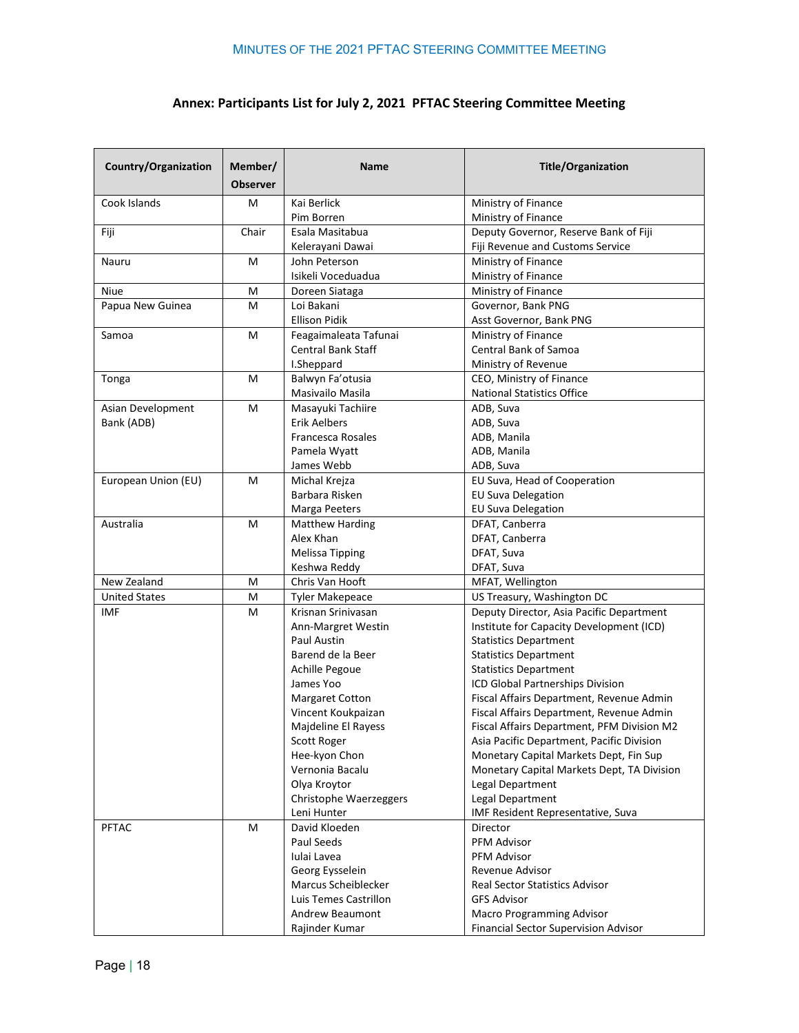## **Annex: Participants List for July 2, 2021 PFTAC Steering Committee Meeting**

| Country/Organization | Member/<br><b>Observer</b> | <b>Name</b>               | <b>Title/Organization</b>                   |
|----------------------|----------------------------|---------------------------|---------------------------------------------|
| Cook Islands         | M                          | Kai Berlick               | Ministry of Finance                         |
|                      |                            | Pim Borren                | Ministry of Finance                         |
| Fiji                 | Chair                      | Esala Masitabua           | Deputy Governor, Reserve Bank of Fiji       |
|                      |                            | Kelerayani Dawai          | Fiji Revenue and Customs Service            |
| Nauru                | M                          | John Peterson             | Ministry of Finance                         |
|                      |                            | Isikeli Voceduadua        | Ministry of Finance                         |
| <b>Niue</b>          | M                          | Doreen Siataga            | Ministry of Finance                         |
| Papua New Guinea     | M                          | Loi Bakani                | Governor, Bank PNG                          |
|                      |                            | <b>Ellison Pidik</b>      | Asst Governor, Bank PNG                     |
| Samoa                | M                          | Feagaimaleata Tafunai     | Ministry of Finance                         |
|                      |                            | <b>Central Bank Staff</b> | <b>Central Bank of Samoa</b>                |
|                      |                            | I.Sheppard                | Ministry of Revenue                         |
| Tonga                | M                          | Balwyn Fa'otusia          | CEO, Ministry of Finance                    |
|                      |                            | Masivailo Masila          | <b>National Statistics Office</b>           |
| Asian Development    | M                          | Masayuki Tachiire         | ADB, Suva                                   |
| Bank (ADB)           |                            | Erik Aelbers              | ADB, Suva                                   |
|                      |                            | Francesca Rosales         | ADB, Manila                                 |
|                      |                            | Pamela Wyatt              | ADB, Manila                                 |
|                      |                            | James Webb                | ADB, Suva                                   |
| European Union (EU)  | M                          | Michal Krejza             | EU Suva, Head of Cooperation                |
|                      |                            | Barbara Risken            | <b>EU Suva Delegation</b>                   |
|                      |                            | Marga Peeters             | <b>EU Suva Delegation</b>                   |
| Australia            | M                          | <b>Matthew Harding</b>    | DFAT, Canberra                              |
|                      |                            | Alex Khan                 | DFAT, Canberra                              |
|                      |                            | <b>Melissa Tipping</b>    | DFAT, Suva                                  |
|                      |                            | Keshwa Reddy              | DFAT, Suva                                  |
| New Zealand          | M                          | Chris Van Hooft           | MFAT, Wellington                            |
| <b>United States</b> | M                          | <b>Tyler Makepeace</b>    | US Treasury, Washington DC                  |
| <b>IMF</b>           | M                          | Krisnan Srinivasan        | Deputy Director, Asia Pacific Department    |
|                      |                            | Ann-Margret Westin        | Institute for Capacity Development (ICD)    |
|                      |                            | Paul Austin               | <b>Statistics Department</b>                |
|                      |                            | Barend de la Beer         | <b>Statistics Department</b>                |
|                      |                            | <b>Achille Pegoue</b>     | <b>Statistics Department</b>                |
|                      |                            | James Yoo                 | ICD Global Partnerships Division            |
|                      |                            | <b>Margaret Cotton</b>    | Fiscal Affairs Department, Revenue Admin    |
|                      |                            | Vincent Koukpaizan        | Fiscal Affairs Department, Revenue Admin    |
|                      |                            | Majdeline El Rayess       | Fiscal Affairs Department, PFM Division M2  |
|                      |                            | Scott Roger               | Asia Pacific Department, Pacific Division   |
|                      |                            | Hee-kyon Chon             | Monetary Capital Markets Dept, Fin Sup      |
|                      |                            | Vernonia Bacalu           | Monetary Capital Markets Dept, TA Division  |
|                      |                            | Olya Kroytor              | Legal Department                            |
|                      |                            | Christophe Waerzeggers    | Legal Department                            |
|                      |                            | Leni Hunter               | IMF Resident Representative, Suva           |
| <b>PFTAC</b>         | M                          | David Kloeden             | Director                                    |
|                      |                            | Paul Seeds                | <b>PFM Advisor</b>                          |
|                      |                            | Iulai Lavea               | <b>PFM Advisor</b>                          |
|                      |                            | Georg Eysselein           | Revenue Advisor                             |
|                      |                            | Marcus Scheiblecker       | <b>Real Sector Statistics Advisor</b>       |
|                      |                            | Luis Temes Castrillon     | <b>GFS Advisor</b>                          |
|                      |                            | Andrew Beaumont           | Macro Programming Advisor                   |
|                      |                            | Rajinder Kumar            | <b>Financial Sector Supervision Advisor</b> |